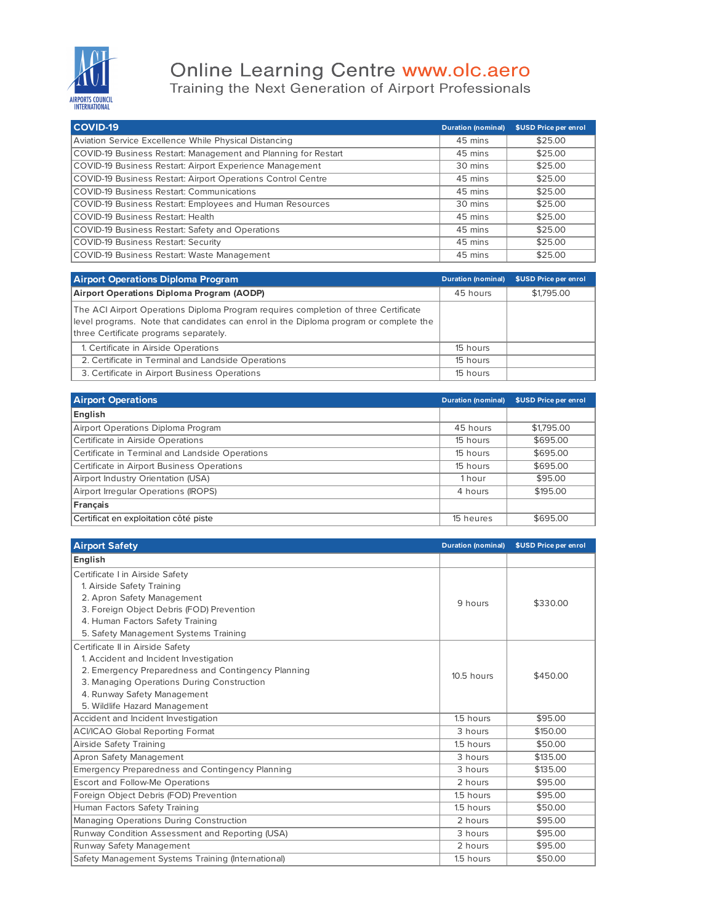

## Online Learning Centre www.olc.aero<br>Training the Next Generation of Airport Professionals

| <b>COVID-19</b>                                                | <b>Duration (nominal)</b> | \$USD Price per enrol |
|----------------------------------------------------------------|---------------------------|-----------------------|
| Aviation Service Excellence While Physical Distancing          | 45 mins                   | \$25.00               |
| COVID-19 Business Restart: Management and Planning for Restart | 45 mins                   | \$25.00               |
| COVID-19 Business Restart: Airport Experience Management       | 30 mins                   | \$25.00               |
| COVID-19 Business Restart: Airport Operations Control Centre   | 45 mins                   | \$25.00               |
| <b>COVID-19 Business Restart: Communications</b>               | 45 mins                   | \$25.00               |
| COVID-19 Business Restart: Employees and Human Resources       | 30 mins                   | \$25.00               |
| <b>COVID-19 Business Restart: Health</b>                       | 45 mins                   | \$25.00               |
| COVID-19 Business Restart: Safety and Operations               | 45 mins                   | \$25.00               |
| <b>COVID-19 Business Restart: Security</b>                     | 45 mins                   | \$25.00               |
| COVID-19 Business Restart: Waste Management                    | 45 mins                   | \$25.00               |

| <b>Airport Operations Diploma Program</b>                                                                                                                                                                              | <b>Duration (nominal)</b> | \$USD Price per enrol |
|------------------------------------------------------------------------------------------------------------------------------------------------------------------------------------------------------------------------|---------------------------|-----------------------|
| Airport Operations Diploma Program (AODP)                                                                                                                                                                              | 45 hours                  | \$1,795.00            |
| The ACI Airport Operations Diploma Program requires completion of three Certificate<br>level programs. Note that candidates can enrol in the Diploma program or complete the<br>three Certificate programs separately. |                           |                       |
| 1. Certificate in Airside Operations                                                                                                                                                                                   | 15 hours                  |                       |
| 2. Certificate in Terminal and Landside Operations                                                                                                                                                                     | 15 hours                  |                       |
| 3. Certificate in Airport Business Operations                                                                                                                                                                          | 15 hours                  |                       |

| <b>Airport Operations</b>                       | <b>Duration (nominal)</b> | \$USD Price per enrol |
|-------------------------------------------------|---------------------------|-----------------------|
| English                                         |                           |                       |
| Airport Operations Diploma Program              | 45 hours                  | \$1,795.00            |
| Certificate in Airside Operations               | 15 hours                  | \$695.00              |
| Certificate in Terminal and Landside Operations | 15 hours                  | \$695.00              |
| Certificate in Airport Business Operations      | 15 hours                  | \$695.00              |
| Airport Industry Orientation (USA)              | 1 hour                    | \$95.00               |
| Airport Irregular Operations (IROPS)            | 4 hours                   | \$195.00              |
| Français                                        |                           |                       |
| Certificat en exploitation côté piste           | 15 heures                 | \$695.00              |

| <b>Airport Safety</b>                                  | <b>Duration (nominal)</b> | \$USD Price per enrol |
|--------------------------------------------------------|---------------------------|-----------------------|
| English                                                |                           |                       |
| Certificate I in Airside Safety                        |                           |                       |
| 1. Airside Safety Training                             |                           |                       |
| 2. Apron Safety Management                             | 9 hours                   | \$330.00              |
| 3. Foreign Object Debris (FOD) Prevention              |                           |                       |
| 4. Human Factors Safety Training                       |                           |                       |
| 5. Safety Management Systems Training                  |                           |                       |
| Certificate II in Airside Safety                       |                           |                       |
| 1. Accident and Incident Investigation                 |                           |                       |
| 2. Emergency Preparedness and Contingency Planning     | 10.5 hours                | \$450.00              |
| 3. Managing Operations During Construction             |                           |                       |
| 4. Runway Safety Management                            |                           |                       |
| 5. Wildlife Hazard Management                          |                           |                       |
| Accident and Incident Investigation                    | 1.5 hours                 | \$95.00               |
| <b>ACI/ICAO Global Reporting Format</b>                | 3 hours                   | \$150.00              |
| Airside Safety Training                                | 1.5 hours                 | \$50.00               |
| Apron Safety Management                                | 3 hours                   | \$135.00              |
| <b>Emergency Preparedness and Contingency Planning</b> | 3 hours                   | \$135.00              |
| <b>Escort and Follow-Me Operations</b>                 | 2 hours                   | \$95.00               |
| Foreign Object Debris (FOD) Prevention                 | 1.5 hours                 | \$95.00               |
| Human Factors Safety Training                          | 1.5 hours                 | \$50.00               |
| Managing Operations During Construction                | 2 hours                   | \$95.00               |
| Runway Condition Assessment and Reporting (USA)        | 3 hours                   | \$95.00               |
| Runway Safety Management                               | 2 hours                   | \$95.00               |
| Safety Management Systems Training (International)     | 1.5 hours                 | \$50.00               |